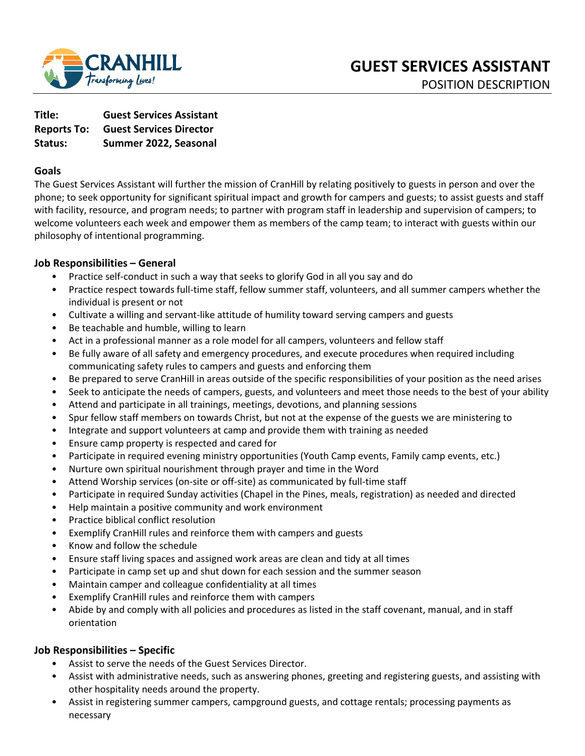

**Title: Guest Services Assistant Reports To: Guest Services Director Status: Summer 2022, Seasonal** 

### **Goals**

The Guest Services Assistant will further the mission of CranHill by relating positively to guests in person and over the phone; to seek opportunity for significant spiritual impact and growth for campers and guests; to assist guests and staff with facility, resource, and program needs; to partner with program staff in leadership and supervision of campers; to welcome volunteers each week and empower them as members of the camp team; to interact with guests within our philosophy of intentional programming.

## **Job Responsibilities – General**

- Practice self-conduct in such a way that seeks to glorify God in all you say and do
- Practice respect towards full-time staff, fellow summer staff, volunteers, and all summer campers whether the individual is present or not
- Cultivate a willing and servant-like attitude of humility toward serving campers and guests
- Be teachable and humble, willing to learn
- Act in a professional manner as a role model for all campers, volunteers and fellow staff
- Be fully aware of all safety and emergency procedures, and execute procedures when required including communicating safety rules to campers and guests and enforcing them
- Be prepared to serve CranHill in areas outside of the specific responsibilities of your position as the need arises
- Seek to anticipate the needs of campers, guests, and volunteers and meet those needs to the best of your ability
- Attend and participate in all trainings, meetings, devotions, and planning sessions
- Spur fellow staff members on towards Christ, but not at the expense of the guests we are ministering to
- Integrate and support volunteers at camp and provide them with training as needed
- Ensure camp property is respected and cared for
- Participate in required evening ministry opportunities (Youth Camp events, Family camp events, etc.)
- Nurture own spiritual nourishment through prayer and time in the Word
- Attend Worship services (on-site or off-site) as communicated by full-time staff
- Participate in required Sunday activities (Chapel in the Pines, meals, registration) as needed and directed
- Help maintain a positive community and work environment
- Practice biblical conflict resolution
- Exemplify CranHill rules and reinforce them with campers and guests
- Know and follow the schedule
- Ensure staff living spaces and assigned work areas are clean and tidy at all times
- Participate in camp set up and shut down for each session and the summer season
- Maintain camper and colleague confidentiality at all times
- Exemplify CranHill rules and reinforce them with campers
- Abide by and comply with all policies and procedures as listed in the staff covenant, manual, and in staff orientation

### **Job Responsibilities – Specific**

- Assist to serve the needs of the Guest Services Director.
- Assist with administrative needs, such as answering phones, greeting and registering guests, and assisting with other hospitality needs around the property.
- Assist in registering summer campers, campground guests, and cottage rentals; processing payments as necessary